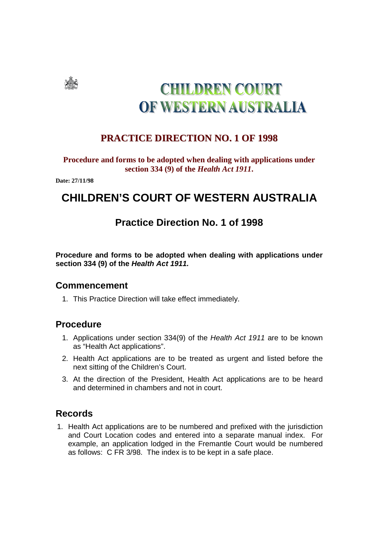

# **CHILDREN COURT** OF WESTERN AUSTRALIA

### **PRACTICE DIRECTION NO. 1 OF 1998**

#### **Procedure and forms to be adopted when dealing with applications under section 334 (9) of the** *Health Act 1911***.**

**Date: 27/11/98** 

# **CHILDREN'S COURT OF WESTERN AUSTRALIA**

## **Practice Direction No. 1 of 1998**

**Procedure and forms to be adopted when dealing with applications under section 334 (9) of the Health Act 1911.** 

#### **Commencement**

1. This Practice Direction will take effect immediately.

#### **Procedure**

- 1. Applications under section 334(9) of the Health Act 1911 are to be known as "Health Act applications".
- 2. Health Act applications are to be treated as urgent and listed before the next sitting of the Children's Court.
- 3. At the direction of the President, Health Act applications are to be heard and determined in chambers and not in court.

#### **Records**

1. Health Act applications are to be numbered and prefixed with the jurisdiction and Court Location codes and entered into a separate manual index. For example, an application lodged in the Fremantle Court would be numbered as follows: C FR 3/98. The index is to be kept in a safe place.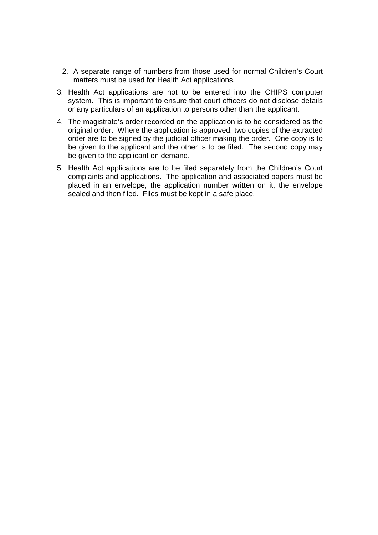- 2. A separate range of numbers from those used for normal Children's Court matters must be used for Health Act applications.
- 3. Health Act applications are not to be entered into the CHIPS computer system. This is important to ensure that court officers do not disclose details or any particulars of an application to persons other than the applicant.
- 4. The magistrate's order recorded on the application is to be considered as the original order. Where the application is approved, two copies of the extracted order are to be signed by the judicial officer making the order. One copy is to be given to the applicant and the other is to be filed. The second copy may be given to the applicant on demand.
- 5. Health Act applications are to be filed separately from the Children's Court complaints and applications. The application and associated papers must be placed in an envelope, the application number written on it, the envelope sealed and then filed. Files must be kept in a safe place.